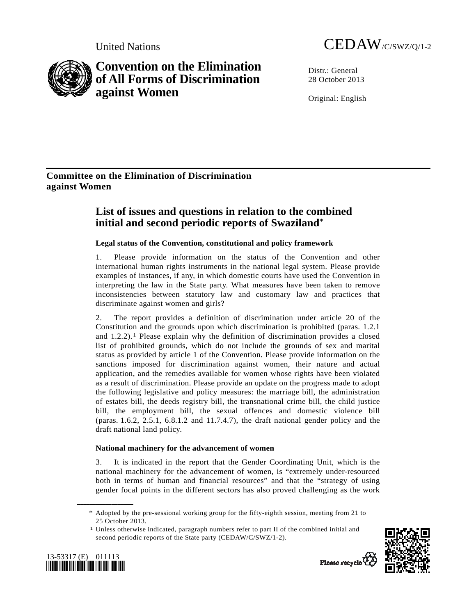

**Convention on the Elimination of All Forms of Discrimination against Women** 



Distr · General 28 October 2013

Original: English

## **Committee on the Elimination of Discrimination against Women**

# **List of issues and questions in relation to the combined initial and second periodic reports of Swaziland**\*

## **Legal status of the Convention, constitutional and policy framework**

1. Please provide information on the status of the Convention and other international human rights instruments in the national legal system. Please provide examples of instances, if any, in which domestic courts have used the Convention in interpreting the law in the State party. What measures have been taken to remove inconsistencies between statutory law and customary law and practices that discriminate against women and girls?

2. The report provides a definition of discrimination under article 20 of the Constitution and the grounds upon which discrimination is prohibited (paras. 1.2.1 and  $1.2.2$  $1.2.2$ ).<sup>1</sup> Please explain why the definition of discrimination provides a closed list of prohibited grounds, which do not include the grounds of sex and marital status as provided by article 1 of the Convention. Please provide information on the sanctions imposed for discrimination against women, their nature and actual application, and the remedies available for women whose rights have been violated as a result of discrimination. Please provide an update on the progress made to adopt the following legislative and policy measures: the marriage bill, the administration of estates bill, the deeds registry bill, the transnational crime bill, the child justice bill, the employment bill, the sexual offences and domestic violence bill (paras. 1.6.2, 2.5.1, 6.8.1.2 and 11.7.4.7), the draft national gender policy and the draft national land policy.

## **National machinery for the advancement of women**

3. It is indicated in the report that the Gender Coordinating Unit, which is the national machinery for the advancement of women, is "extremely under-resourced both in terms of human and financial resources" and that the "strategy of using gender focal points in the different sectors has also proved challenging as the work

 $1$  Unless otherwise indicated, paragraph numbers refer to part II of the combined initial and second periodic reports of the State party (CEDAW/C/SWZ/1-2).



<span id="page-0-0"></span>

**\_\_\_\_\_\_\_\_\_\_\_\_\_\_\_\_\_\_** 



 <sup>\*</sup> Adopted by the pre-sessional working group for the fifty-eighth session, meeting from 21 to 25 October 2013.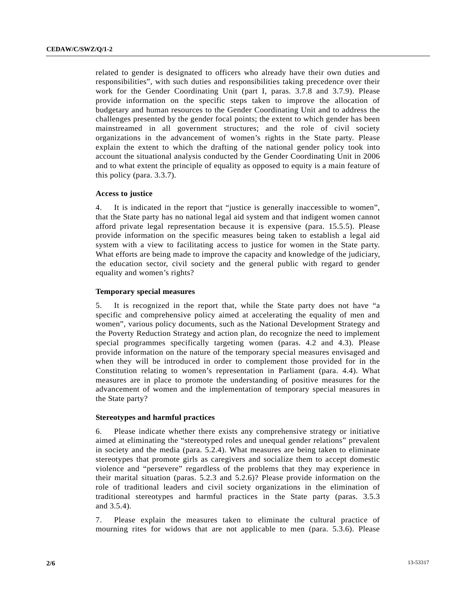related to gender is designated to officers who already have their own duties and responsibilities", with such duties and responsibilities taking precedence over their work for the Gender Coordinating Unit (part I, paras. 3.7.8 and 3.7.9). Please provide information on the specific steps taken to improve the allocation of budgetary and human resources to the Gender Coordinating Unit and to address the challenges presented by the gender focal points; the extent to which gender has been mainstreamed in all government structures; and the role of civil society organizations in the advancement of women's rights in the State party. Please explain the extent to which the drafting of the national gender policy took into account the situational analysis conducted by the Gender Coordinating Unit in 2006 and to what extent the principle of equality as opposed to equity is a main feature of this policy (para. 3.3.7).

#### **Access to justice**

4. It is indicated in the report that "justice is generally inaccessible to women", that the State party has no national legal aid system and that indigent women cannot afford private legal representation because it is expensive (para. 15.5.5). Please provide information on the specific measures being taken to establish a legal aid system with a view to facilitating access to justice for women in the State party. What efforts are being made to improve the capacity and knowledge of the judiciary, the education sector, civil society and the general public with regard to gender equality and women's rights?

#### **Temporary special measures**

5. It is recognized in the report that, while the State party does not have "a specific and comprehensive policy aimed at accelerating the equality of men and women", various policy documents, such as the National Development Strategy and the Poverty Reduction Strategy and action plan, do recognize the need to implement special programmes specifically targeting women (paras. 4.2 and 4.3). Please provide information on the nature of the temporary special measures envisaged and when they will be introduced in order to complement those provided for in the Constitution relating to women's representation in Parliament (para. 4.4). What measures are in place to promote the understanding of positive measures for the advancement of women and the implementation of temporary special measures in the State party?

#### **Stereotypes and harmful practices**

6. Please indicate whether there exists any comprehensive strategy or initiative aimed at eliminating the "stereotyped roles and unequal gender relations" prevalent in society and the media (para. 5.2.4). What measures are being taken to eliminate stereotypes that promote girls as caregivers and socialize them to accept domestic violence and "persevere" regardless of the problems that they may experience in their marital situation (paras. 5.2.3 and 5.2.6)? Please provide information on the role of traditional leaders and civil society organizations in the elimination of traditional stereotypes and harmful practices in the State party (paras. 3.5.3 and 3.5.4).

7. Please explain the measures taken to eliminate the cultural practice of mourning rites for widows that are not applicable to men (para. 5.3.6). Please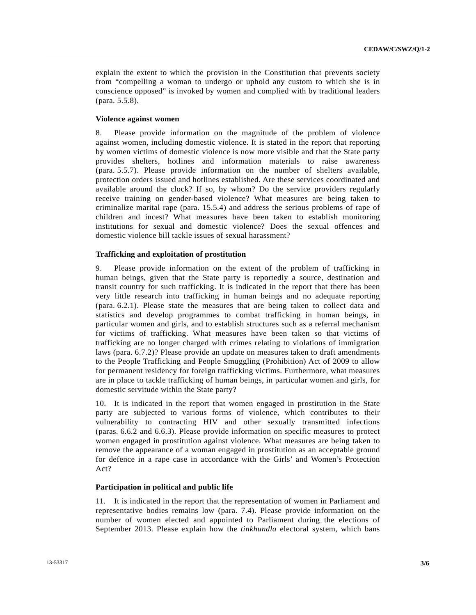explain the extent to which the provision in the Constitution that prevents society from "compelling a woman to undergo or uphold any custom to which she is in conscience opposed" is invoked by women and complied with by traditional leaders (para. 5.5.8).

### **Violence against women**

8. Please provide information on the magnitude of the problem of violence against women, including domestic violence. It is stated in the report that reporting by women victims of domestic violence is now more visible and that the State party provides shelters, hotlines and information materials to raise awareness (para. 5.5.7). Please provide information on the number of shelters available, protection orders issued and hotlines established. Are these services coordinated and available around the clock? If so, by whom? Do the service providers regularly receive training on gender-based violence? What measures are being taken to criminalize marital rape (para. 15.5.4) and address the serious problems of rape of children and incest? What measures have been taken to establish monitoring institutions for sexual and domestic violence? Does the sexual offences and domestic violence bill tackle issues of sexual harassment?

#### **Trafficking and exploitation of prostitution**

9. Please provide information on the extent of the problem of trafficking in human beings, given that the State party is reportedly a source, destination and transit country for such trafficking. It is indicated in the report that there has been very little research into trafficking in human beings and no adequate reporting (para. 6.2.1). Please state the measures that are being taken to collect data and statistics and develop programmes to combat trafficking in human beings, in particular women and girls, and to establish structures such as a referral mechanism for victims of trafficking. What measures have been taken so that victims of trafficking are no longer charged with crimes relating to violations of immigration laws (para. 6.7.2)? Please provide an update on measures taken to draft amendments to the People Trafficking and People Smuggling (Prohibition) Act of 2009 to allow for permanent residency for foreign trafficking victims. Furthermore, what measures are in place to tackle trafficking of human beings, in particular women and girls, for domestic servitude within the State party?

10. It is indicated in the report that women engaged in prostitution in the State party are subjected to various forms of violence, which contributes to their vulnerability to contracting HIV and other sexually transmitted infections (paras. 6.6.2 and 6.6.3). Please provide information on specific measures to protect women engaged in prostitution against violence. What measures are being taken to remove the appearance of a woman engaged in prostitution as an acceptable ground for defence in a rape case in accordance with the Girls' and Women's Protection Act?

#### **Participation in political and public life**

11. It is indicated in the report that the representation of women in Parliament and representative bodies remains low (para. 7.4). Please provide information on the number of women elected and appointed to Parliament during the elections of September 2013. Please explain how the *tinkhundla* electoral system, which bans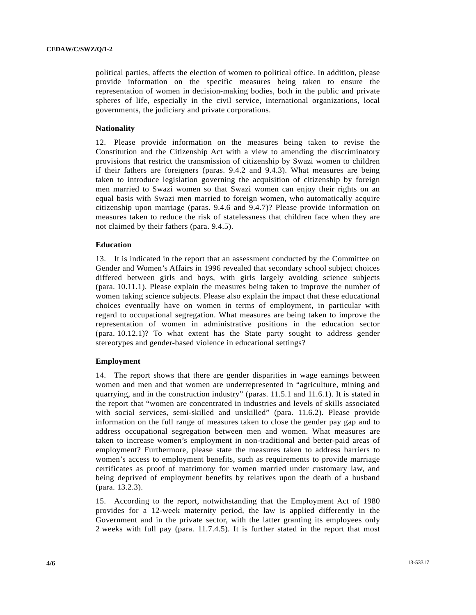political parties, affects the election of women to political office. In addition, please provide information on the specific measures being taken to ensure the representation of women in decision-making bodies, both in the public and private spheres of life, especially in the civil service, international organizations, local governments, the judiciary and private corporations.

#### **Nationality**

12. Please provide information on the measures being taken to revise the Constitution and the Citizenship Act with a view to amending the discriminatory provisions that restrict the transmission of citizenship by Swazi women to children if their fathers are foreigners (paras. 9.4.2 and 9.4.3). What measures are being taken to introduce legislation governing the acquisition of citizenship by foreign men married to Swazi women so that Swazi women can enjoy their rights on an equal basis with Swazi men married to foreign women, who automatically acquire citizenship upon marriage (paras. 9.4.6 and 9.4.7)? Please provide information on measures taken to reduce the risk of statelessness that children face when they are not claimed by their fathers (para. 9.4.5).

#### **Education**

13. It is indicated in the report that an assessment conducted by the Committee on Gender and Women's Affairs in 1996 revealed that secondary school subject choices differed between girls and boys, with girls largely avoiding science subjects (para. 10.11.1). Please explain the measures being taken to improve the number of women taking science subjects. Please also explain the impact that these educational choices eventually have on women in terms of employment, in particular with regard to occupational segregation. What measures are being taken to improve the representation of women in administrative positions in the education sector (para. 10.12.1)? To what extent has the State party sought to address gender stereotypes and gender-based violence in educational settings?

#### **Employment**

14. The report shows that there are gender disparities in wage earnings between women and men and that women are underrepresented in "agriculture, mining and quarrying, and in the construction industry" (paras. 11.5.1 and 11.6.1). It is stated in the report that "women are concentrated in industries and levels of skills associated with social services, semi-skilled and unskilled" (para. 11.6.2). Please provide information on the full range of measures taken to close the gender pay gap and to address occupational segregation between men and women. What measures are taken to increase women's employment in non-traditional and better-paid areas of employment? Furthermore, please state the measures taken to address barriers to women's access to employment benefits, such as requirements to provide marriage certificates as proof of matrimony for women married under customary law, and being deprived of employment benefits by relatives upon the death of a husband (para. 13.2.3).

15. According to the report, notwithstanding that the Employment Act of 1980 provides for a 12-week maternity period, the law is applied differently in the Government and in the private sector, with the latter granting its employees only 2 weeks with full pay (para. 11.7.4.5). It is further stated in the report that most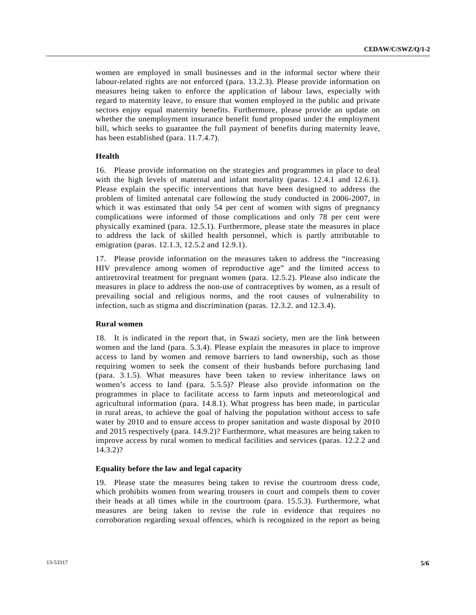women are employed in small businesses and in the informal sector where their labour-related rights are not enforced (para. 13.2.3). Please provide information on measures being taken to enforce the application of labour laws, especially with regard to maternity leave, to ensure that women employed in the public and private sectors enjoy equal maternity benefits. Furthermore, please provide an update on whether the unemployment insurance benefit fund proposed under the employment bill, which seeks to guarantee the full payment of benefits during maternity leave, has been established (para. 11.7.4.7).

#### **Health**

16. Please provide information on the strategies and programmes in place to deal with the high levels of maternal and infant mortality (paras. 12.4.1 and 12.6.1). Please explain the specific interventions that have been designed to address the problem of limited antenatal care following the study conducted in 2006-2007, in which it was estimated that only 54 per cent of women with signs of pregnancy complications were informed of those complications and only 78 per cent were physically examined (para. 12.5.1). Furthermore, please state the measures in place to address the lack of skilled health personnel, which is partly attributable to emigration (paras. 12.1.3, 12.5.2 and 12.9.1).

17. Please provide information on the measures taken to address the "increasing HIV prevalence among women of reproductive age" and the limited access to antiretroviral treatment for pregnant women (para. 12.5.2). Please also indicate the measures in place to address the non-use of contraceptives by women, as a result of prevailing social and religious norms, and the root causes of vulnerability to infection, such as stigma and discrimination (paras. 12.3.2. and 12.3.4).

#### **Rural women**

18. It is indicated in the report that, in Swazi society, men are the link between women and the land (para. 5.3.4). Please explain the measures in place to improve access to land by women and remove barriers to land ownership, such as those requiring women to seek the consent of their husbands before purchasing land (para. 3.1.5). What measures have been taken to review inheritance laws on women's access to land (para. 5.5.5)? Please also provide information on the programmes in place to facilitate access to farm inputs and meteorological and agricultural information (para. 14.8.1). What progress has been made, in particular in rural areas, to achieve the goal of halving the population without access to safe water by 2010 and to ensure access to proper sanitation and waste disposal by 2010 and 2015 respectively (para. 14.9.2)? Furthermore, what measures are being taken to improve access by rural women to medical facilities and services (paras. 12.2.2 and 14.3.2)?

#### **Equality before the law and legal capacity**

19. Please state the measures being taken to revise the courtroom dress code, which prohibits women from wearing trousers in court and compels them to cover their heads at all times while in the courtroom (para. 15.5.3). Furthermore, what measures are being taken to revise the rule in evidence that requires no corroboration regarding sexual offences, which is recognized in the report as being